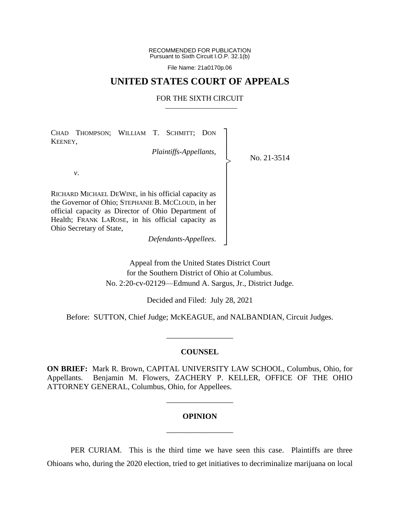RECOMMENDED FOR PUBLICATION Pursuant to Sixth Circuit I.O.P. 32.1(b)

File Name: 21a0170p.06

## **UNITED STATES COURT OF APPEALS**

#### FOR THE SIXTH CIRCUIT

┐ │ │ │ │ │ │ │ │ │ │ │ │ ┘

|<br>|>

CHAD THOMPSON; WILLIAM T. SCHMITT; DON KEENEY,

*Plaintiffs-Appellants*,

No. 21-3514

*v*.

RICHARD MICHAEL DEWINE, in his official capacity as the Governor of Ohio; STEPHANIE B. MCCLOUD, in her official capacity as Director of Ohio Department of Health; FRANK LAROSE, in his official capacity as Ohio Secretary of State,

*Defendants-Appellees*.

Appeal from the United States District Court for the Southern District of Ohio at Columbus. No. 2:20-cv-02129—Edmund A. Sargus, Jr., District Judge.

Decided and Filed: July 28, 2021

Before: SUTTON, Chief Judge; McKEAGUE, and NALBANDIAN, Circuit Judges.

\_\_\_\_\_\_\_\_\_\_\_\_\_\_\_\_\_

#### **COUNSEL**

**ON BRIEF:** Mark R. Brown, CAPITAL UNIVERSITY LAW SCHOOL, Columbus, Ohio, for Appellants. Benjamin M. Flowers, ZACHERY P. KELLER, OFFICE OF THE OHIO ATTORNEY GENERAL, Columbus, Ohio, for Appellees.

# **OPINION** \_\_\_\_\_\_\_\_\_\_\_\_\_\_\_\_\_

\_\_\_\_\_\_\_\_\_\_\_\_\_\_\_\_\_

PER CURIAM. This is the third time we have seen this case. Plaintiffs are three Ohioans who, during the 2020 election, tried to get initiatives to decriminalize marijuana on local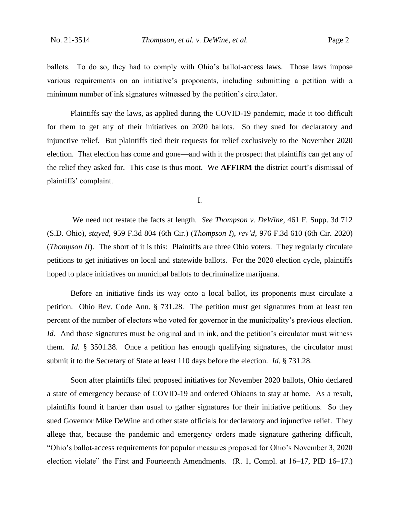ballots. To do so, they had to comply with Ohio's ballot-access laws. Those laws impose various requirements on an initiative's proponents, including submitting a petition with a minimum number of ink signatures witnessed by the petition's circulator.

Plaintiffs say the laws, as applied during the COVID-19 pandemic, made it too difficult for them to get any of their initiatives on 2020 ballots. So they sued for declaratory and injunctive relief. But plaintiffs tied their requests for relief exclusively to the November 2020 election. That election has come and gone—and with it the prospect that plaintiffs can get any of the relief they asked for. This case is thus moot. We **AFFIRM** the district court's dismissal of plaintiffs' complaint.

I.

We need not restate the facts at length. *See Thompson v. DeWine*, 461 F. Supp. 3d 712 (S.D. Ohio), *stayed*, 959 F.3d 804 (6th Cir.) (*Thompson I*), *rev'd*, 976 F.3d 610 (6th Cir. 2020) (*Thompson II*). The short of it is this: Plaintiffs are three Ohio voters. They regularly circulate petitions to get initiatives on local and statewide ballots. For the 2020 election cycle, plaintiffs hoped to place initiatives on municipal ballots to decriminalize marijuana.

Before an initiative finds its way onto a local ballot, its proponents must circulate a petition. Ohio Rev. Code Ann. § 731.28. The petition must get signatures from at least ten percent of the number of electors who voted for governor in the municipality's previous election. *Id.* And those signatures must be original and in ink, and the petition's circulator must witness them. *Id.* § 3501.38. Once a petition has enough qualifying signatures, the circulator must submit it to the Secretary of State at least 110 days before the election. *Id.* § 731.28.

Soon after plaintiffs filed proposed initiatives for November 2020 ballots, Ohio declared a state of emergency because of COVID-19 and ordered Ohioans to stay at home. As a result, plaintiffs found it harder than usual to gather signatures for their initiative petitions. So they sued Governor Mike DeWine and other state officials for declaratory and injunctive relief. They allege that, because the pandemic and emergency orders made signature gathering difficult, "Ohio's ballot-access requirements for popular measures proposed for Ohio's November 3, 2020 election violate" the First and Fourteenth Amendments. (R. 1, Compl. at 16–17, PID 16–17.)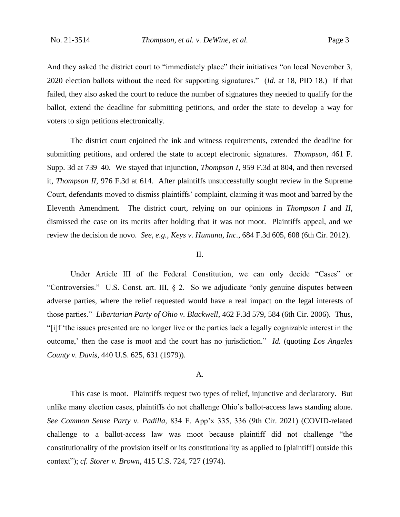And they asked the district court to "immediately place" their initiatives "on local November 3, 2020 election ballots without the need for supporting signatures." (*Id.* at 18, PID 18.) If that failed, they also asked the court to reduce the number of signatures they needed to qualify for the ballot, extend the deadline for submitting petitions, and order the state to develop a way for voters to sign petitions electronically.

The district court enjoined the ink and witness requirements, extended the deadline for submitting petitions, and ordered the state to accept electronic signatures. *Thompson*, 461 F. Supp. 3d at 739–40. We stayed that injunction, *Thompson I*, 959 F.3d at 804, and then reversed it, *Thompson II*, 976 F.3d at 614. After plaintiffs unsuccessfully sought review in the Supreme Court, defendants moved to dismiss plaintiffs' complaint, claiming it was moot and barred by the Eleventh Amendment. The district court, relying on our opinions in *Thompson I* and *II*, dismissed the case on its merits after holding that it was not moot. Plaintiffs appeal, and we review the decision de novo. *See, e.g.*, *Keys v. Humana, Inc.*, 684 F.3d 605, 608 (6th Cir. 2012).

### II.

Under Article III of the Federal Constitution, we can only decide "Cases" or "Controversies." U.S. Const. art. III, § 2. So we adjudicate "only genuine disputes between adverse parties, where the relief requested would have a real impact on the legal interests of those parties." *Libertarian Party of Ohio v. Blackwell*, 462 F.3d 579, 584 (6th Cir. 2006). Thus, "[i]f 'the issues presented are no longer live or the parties lack a legally cognizable interest in the outcome,' then the case is moot and the court has no jurisdiction." *Id.* (quoting *Los Angeles County v. Davis*, 440 U.S. 625, 631 (1979)).

#### A.

This case is moot. Plaintiffs request two types of relief, injunctive and declaratory. But unlike many election cases, plaintiffs do not challenge Ohio's ballot-access laws standing alone. *See Common Sense Party v. Padilla*, 834 F. App'x 335, 336 (9th Cir. 2021) (COVID-related challenge to a ballot-access law was moot because plaintiff did not challenge "the constitutionality of the provision itself or its constitutionality as applied to [plaintiff] outside this context"); *cf. Storer v. Brown*, 415 U.S. 724, 727 (1974).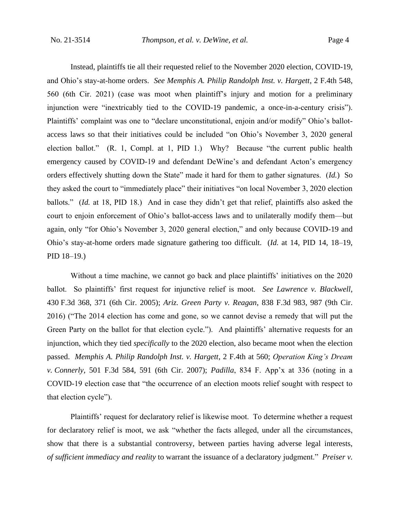Instead, plaintiffs tie all their requested relief to the November 2020 election, COVID-19, and Ohio's stay-at-home orders. *See Memphis A. Philip Randolph Inst. v. Hargett*, 2 F.4th 548, 560 (6th Cir. 2021) (case was moot when plaintiff's injury and motion for a preliminary injunction were "inextricably tied to the COVID-19 pandemic, a once-in-a-century crisis"). Plaintiffs' complaint was one to "declare unconstitutional, enjoin and/or modify" Ohio's ballotaccess laws so that their initiatives could be included "on Ohio's November 3, 2020 general election ballot." (R. 1, Compl. at 1, PID 1.) Why? Because "the current public health emergency caused by COVID-19 and defendant DeWine's and defendant Acton's emergency orders effectively shutting down the State" made it hard for them to gather signatures. (*Id.*) So they asked the court to "immediately place" their initiatives "on local November 3, 2020 election ballots." (*Id.* at 18, PID 18.) And in case they didn't get that relief, plaintiffs also asked the court to enjoin enforcement of Ohio's ballot-access laws and to unilaterally modify them—but again, only "for Ohio's November 3, 2020 general election," and only because COVID-19 and Ohio's stay-at-home orders made signature gathering too difficult. (*Id.* at 14, PID 14, 18–19, PID 18–19.)

Without a time machine, we cannot go back and place plaintiffs' initiatives on the 2020 ballot. So plaintiffs' first request for injunctive relief is moot. *See Lawrence v. Blackwell*, 430 F.3d 368, 371 (6th Cir. 2005); *Ariz. Green Party v. Reagan*, 838 F.3d 983, 987 (9th Cir. 2016) ("The 2014 election has come and gone, so we cannot devise a remedy that will put the Green Party on the ballot for that election cycle."). And plaintiffs' alternative requests for an injunction, which they tied *specifically* to the 2020 election, also became moot when the election passed. *Memphis A. Philip Randolph Inst. v. Hargett*, 2 F.4th at 560; *Operation King's Dream v. Connerly*, 501 F.3d 584, 591 (6th Cir. 2007); *Padilla*, 834 F. App'x at 336 (noting in a COVID-19 election case that "the occurrence of an election moots relief sought with respect to that election cycle").

Plaintiffs' request for declaratory relief is likewise moot. To determine whether a request for declaratory relief is moot, we ask "whether the facts alleged, under all the circumstances, show that there is a substantial controversy, between parties having adverse legal interests, *of sufficient immediacy and reality* to warrant the issuance of a declaratory judgment." *Preiser v.*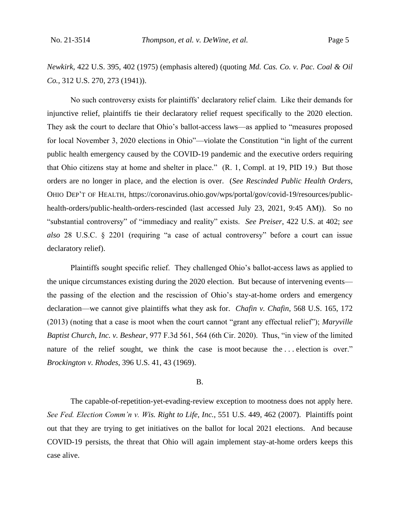*Newkirk*, 422 U.S. 395, 402 (1975) (emphasis altered) (quoting *Md. Cas. Co. v. Pac. Coal & Oil Co.*, 312 U.S. 270, 273 (1941)).

No such controversy exists for plaintiffs' declaratory relief claim. Like their demands for injunctive relief, plaintiffs tie their declaratory relief request specifically to the 2020 election. They ask the court to declare that Ohio's ballot-access laws—as applied to "measures proposed for local November 3, 2020 elections in Ohio"—violate the Constitution "in light of the current public health emergency caused by the COVID-19 pandemic and the executive orders requiring that Ohio citizens stay at home and shelter in place." (R. 1, Compl. at 19, PID 19.) But those orders are no longer in place, and the election is over. (*See Rescinded Public Health Orders*, OHIO DEP'T OF HEALTH, https://coronavirus.ohio.gov/wps/portal/gov/covid-19/resources/publichealth-orders/public-health-orders-rescinded (last accessed July 23, 2021, 9:45 AM)). So no "substantial controversy" of "immediacy and reality" exists. *See Preiser*, 422 U.S. at 402; *see also* 28 U.S.C. § 2201 (requiring "a case of actual controversy" before a court can issue declaratory relief).

Plaintiffs sought specific relief. They challenged Ohio's ballot-access laws as applied to the unique circumstances existing during the 2020 election. But because of intervening events the passing of the election and the rescission of Ohio's stay-at-home orders and emergency declaration—we cannot give plaintiffs what they ask for. *Chafin v. Chafin*, 568 U.S. 165, 172 (2013) (noting that a case is moot when the court cannot "grant any effectual relief"); *Maryville Baptist Church, Inc. v. Beshear*, 977 F.3d 561, 564 (6th Cir. 2020). Thus, "in view of the limited nature of the relief sought, we think the case is moot because the ... election is over." *Brockington v. Rhodes*, 396 U.S. 41, 43 (1969).

#### B.

The capable-of-repetition-yet-evading-review exception to mootness does not apply here. *See Fed. Election Comm'n v. Wis. Right to Life, Inc.*, 551 U.S. 449, 462 (2007). Plaintiffs point out that they are trying to get initiatives on the ballot for local 2021 elections. And because COVID-19 persists, the threat that Ohio will again implement stay-at-home orders keeps this case alive.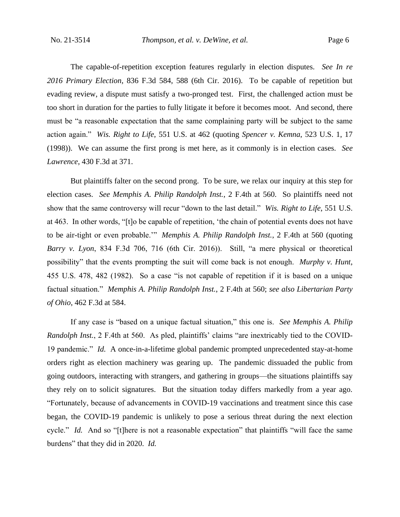The capable-of-repetition exception features regularly in election disputes. *See In re 2016 Primary Election*, 836 F.3d 584, 588 (6th Cir. 2016). To be capable of repetition but evading review, a dispute must satisfy a two-pronged test. First, the challenged action must be too short in duration for the parties to fully litigate it before it becomes moot. And second, there must be "a reasonable expectation that the same complaining party will be subject to the same action again." *Wis. Right to Life*, 551 U.S. at 462 (quoting *Spencer v. Kemna*, 523 U.S. 1, 17 (1998)). We can assume the first prong is met here, as it commonly is in election cases. *See Lawrence*, 430 F.3d at 371.

But plaintiffs falter on the second prong. To be sure, we relax our inquiry at this step for election cases. *See Memphis A. Philip Randolph Inst.*, 2 F.4th at 560. So plaintiffs need not show that the same controversy will recur "down to the last detail." *Wis. Right to Life*, 551 U.S. at 463. In other words, "[t]o be capable of repetition, 'the chain of potential events does not have to be air-tight or even probable.'" *Memphis A. Philip Randolph Inst.*, 2 F.4th at 560 (quoting *Barry v. Lyon*, 834 F.3d 706, 716 (6th Cir. 2016)). Still, "a mere physical or theoretical possibility" that the events prompting the suit will come back is not enough. *Murphy v. Hunt*, 455 U.S. 478, 482 (1982). So a case "is not capable of repetition if it is based on a unique factual situation." *Memphis A. Philip Randolph Inst.*, 2 F.4th at 560; *see also Libertarian Party of Ohio*, 462 F.3d at 584.

If any case is "based on a unique factual situation," this one is. *See Memphis A. Philip Randolph Inst.*, 2 F.4th at 560. As pled, plaintiffs' claims "are inextricably tied to the COVID-19 pandemic." *Id.* A once-in-a-lifetime global pandemic prompted unprecedented stay-at-home orders right as election machinery was gearing up. The pandemic dissuaded the public from going outdoors, interacting with strangers, and gathering in groups—the situations plaintiffs say they rely on to solicit signatures. But the situation today differs markedly from a year ago. "Fortunately, because of advancements in COVID-19 vaccinations and treatment since this case began, the COVID-19 pandemic is unlikely to pose a serious threat during the next election cycle." *Id.* And so "[t]here is not a reasonable expectation" that plaintiffs "will face the same burdens" that they did in 2020. *Id.*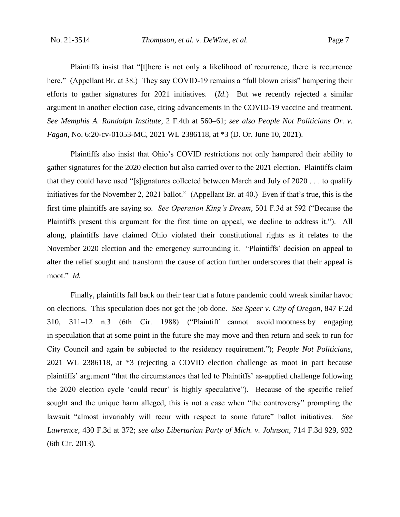Plaintiffs insist that "[t]here is not only a likelihood of recurrence, there is recurrence here." (Appellant Br. at 38.) They say COVID-19 remains a "full blown crisis" hampering their efforts to gather signatures for 2021 initiatives. (*Id.*) But we recently rejected a similar argument in another election case, citing advancements in the COVID-19 vaccine and treatment. *See Memphis A. Randolph Institute*, 2 F.4th at 560–61; *see also People Not Politicians Or. v. Fagan*, No. 6:20-cv-01053-MC, 2021 WL 2386118, at \*3 (D. Or. June 10, 2021).

Plaintiffs also insist that Ohio's COVID restrictions not only hampered their ability to gather signatures for the 2020 election but also carried over to the 2021 election. Plaintiffs claim that they could have used "[s]ignatures collected between March and July of 2020 . . . to qualify initiatives for the November 2, 2021 ballot." (Appellant Br. at 40.) Even if that's true, this is the first time plaintiffs are saying so. *See Operation King's Dream*, 501 F.3d at 592 ("Because the Plaintiffs present this argument for the first time on appeal, we decline to address it.").All along, plaintiffs have claimed Ohio violated their constitutional rights as it relates to the November 2020 election and the emergency surrounding it. "Plaintiffs' decision on appeal to alter the relief sought and transform the cause of action further underscores that their appeal is moot." *Id.*

Finally, plaintiffs fall back on their fear that a future pandemic could wreak similar havoc on elections. This speculation does not get the job done. *See Speer v. City of Oregon*, 847 F.2d 310, 311–12 n.3 (6th Cir. 1988) ("Plaintiff cannot avoid mootness by engaging in speculation that at some point in the future she may move and then return and seek to run for City Council and again be subjected to the residency requirement."); *People Not Politicians*, 2021 WL 2386118, at \*3 (rejecting a COVID election challenge as moot in part because plaintiffs' argument "that the circumstances that led to Plaintiffs' as-applied challenge following the 2020 election cycle 'could recur' is highly speculative"). Because of the specific relief sought and the unique harm alleged, this is not a case when "the controversy" prompting the lawsuit "almost invariably will recur with respect to some future" ballot initiatives. *See Lawrence*, 430 F.3d at 372; *see also Libertarian Party of Mich. v. Johnson*, 714 F.3d 929, 932 (6th Cir. 2013).